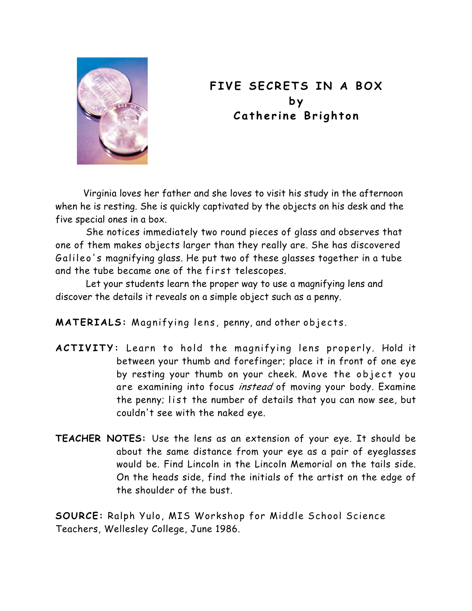

## **FIVE SECRETS IN A BOX by Catherine Brighton**

 Virginia loves her father and she loves to visit his study in the afternoon when he is resting. She is quickly captivated by the objects on his desk and the five special ones in a box.

She notices immediately two round pieces of glass and observes that one of them makes objects larger than they really are. She has discovered Galileo's magnifying glass. He put two of these glasses together in a tube and the tube became one of the first telescopes.

Let your students learn the proper way to use a magnifying lens and discover the details it reveals on a simple object such as a penny.

**MATERIALS:** Magnifying lens, penny, and other objects.

- **ACTIVITY:** Learn to hold the magnifying lens properly. Hold it between your thumb and forefinger; place it in front of one eye by resting your thumb on your cheek. Move the object you are examining into focus instead of moving your body. Examine the penny; list the number of details that you can now see, but couldn't see with the naked eye.
- **TEACHER NOTES:** Use the lens as an extension of your eye. It should be about the same distance from your eye as a pair of eyeglasses would be. Find Lincoln in the Lincoln Memorial on the tails side. On the heads side, find the initials of the artist on the edge of the shoulder of the bust.

**SOURCE:** Ralph Yulo, MIS Workshop for Middle School Science Teachers, Wellesley College, June 1986.